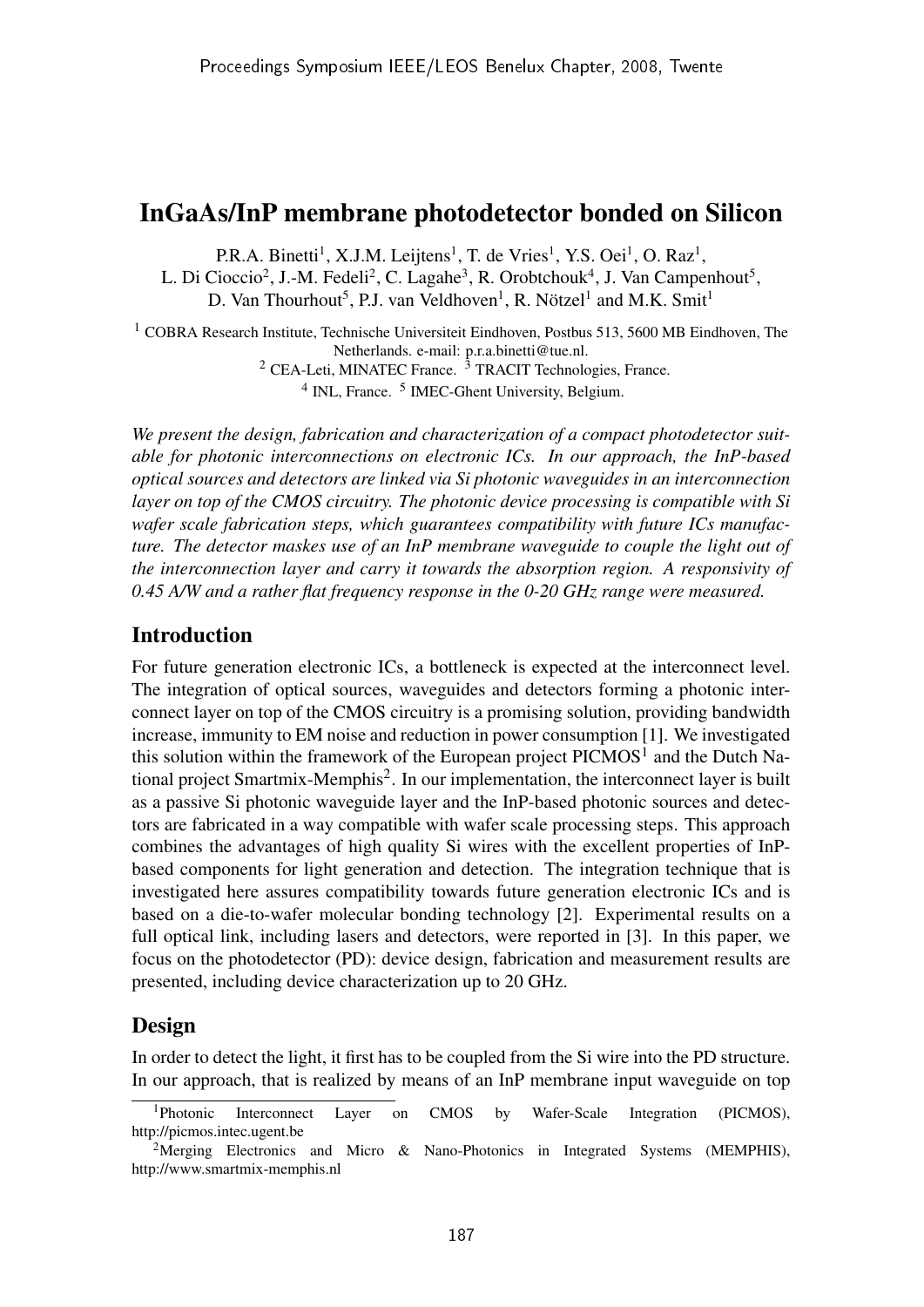## InGaAs/InP membrane photodetector bonded on Silicon

P.R.A. Binetti<sup>1</sup>, X.J.M. Leijtens<sup>1</sup>, T. de Vries<sup>1</sup>, Y.S. Oei<sup>1</sup>, O. Raz<sup>1</sup>,

L. Di Cioccio<sup>2</sup>, J.-M. Fedeli<sup>2</sup>, C. Lagahe<sup>3</sup>, R. Orobtchouk<sup>4</sup>, J. Van Campenhout<sup>5</sup>,

D. Van Thourhout<sup>5</sup>, P.J. van Veldhoven<sup>1</sup>, R. Nötzel<sup>1</sup> and M.K. Smit<sup>1</sup>

 $1$  COBRA Research Institute, Technische Universiteit Eindhoven, Postbus 513, 5600 MB Eindhoven, The Netherlands. e-mail: p.r.a.binetti@tue.nl.

 $2$  CEA-Leti, MINATEC France.  $3$  TRACIT Technologies, France.

<sup>4</sup> INL, France. <sup>5</sup> IMEC-Ghent University, Belgium.

*We present the design, fabrication and characterization of a compact photodetector suitable for photonic interconnections on electronic ICs. In our approach, the InP-based optical sources and detectors are linked via Si photonic waveguides in an interconnection layer on top of the CMOS circuitry. The photonic device processing is compatible with Si wafer scale fabrication steps, which guarantees compatibility with future ICs manufacture. The detector maskes use of an InP membrane waveguide to couple the light out of the interconnection layer and carry it towards the absorption region. A responsivity of 0.45 A/W and a rather flat frequency response in the 0-20 GHz range were measured.*

#### Introduction

For future generation electronic ICs, a bottleneck is expected at the interconnect level. The integration of optical sources, waveguides and detectors forming a photonic interconnect layer on top of the CMOS circuitry is a promising solution, providing bandwidth increase, immunity to EM noise and reduction in power consumption [1]. We investigated this solution within the framework of the European project PICMOS<sup>1</sup> and the Dutch National project Smartmix-Memphis<sup>2</sup>. In our implementation, the interconnect layer is built as a passive Si photonic waveguide layer and the InP-based photonic sources and detectors are fabricated in a way compatible with wafer scale processing steps. This approach combines the advantages of high quality Si wires with the excellent properties of InPbased components for light generation and detection. The integration technique that is investigated here assures compatibility towards future generation electronic ICs and is based on a die-to-wafer molecular bonding technology [2]. Experimental results on a full optical link, including lasers and detectors, were reported in [3]. In this paper, we focus on the photodetector (PD): device design, fabrication and measurement results are presented, including device characterization up to 20 GHz.

### Design

In order to detect the light, it first has to be coupled from the Si wire into the PD structure. In our approach, that is realized by means of an InP membrane input waveguide on top

<sup>1</sup>Photonic Interconnect Layer on CMOS by Wafer-Scale Integration (PICMOS), http://picmos.intec.ugent.be

<sup>&</sup>lt;sup>2</sup>Merging Electronics and Micro & Nano-Photonics in Integrated Systems (MEMPHIS), http://www.smartmix-memphis.nl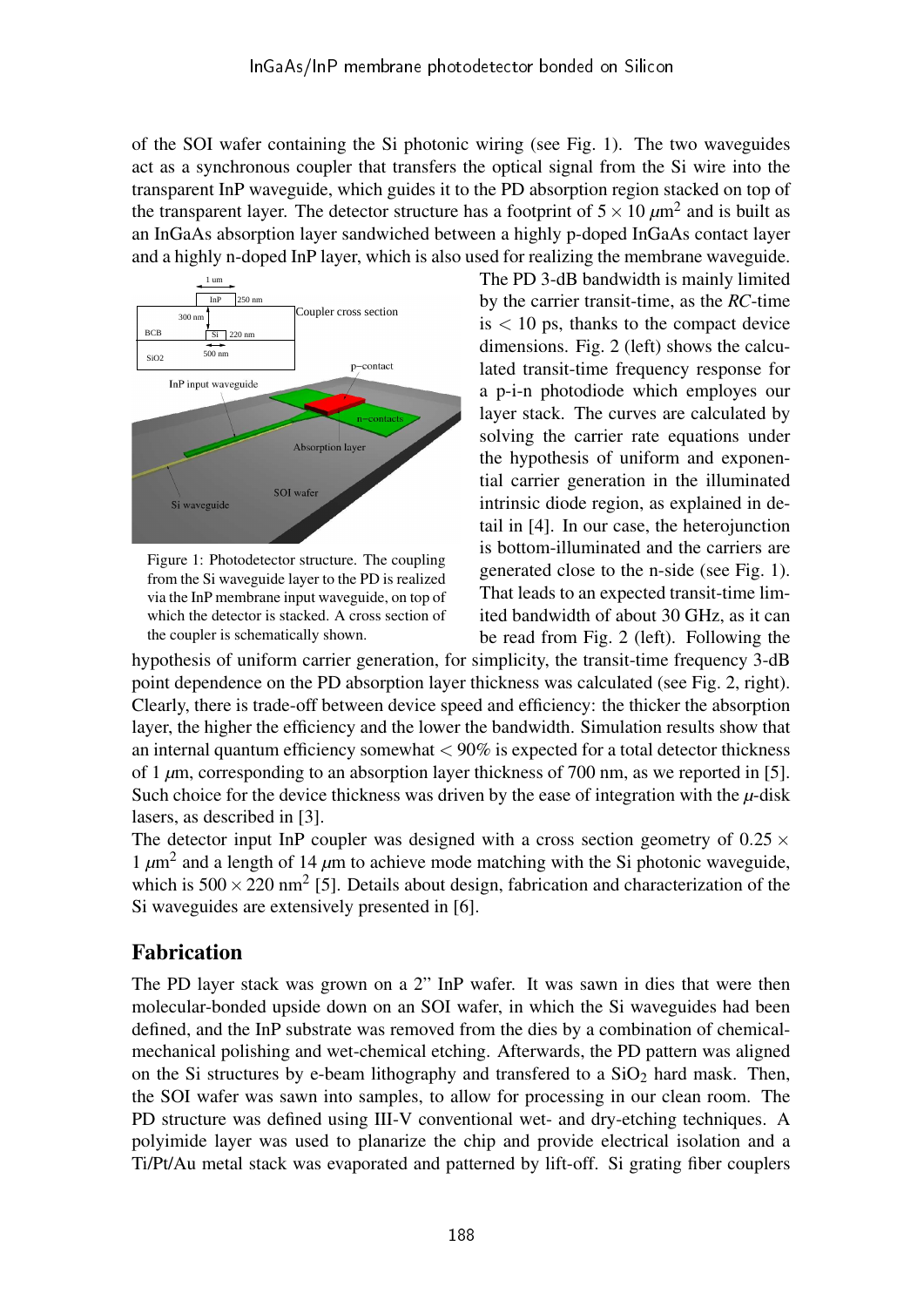of the SOI wafer containing the Si photonic wiring (see Fig. 1). The two waveguides act as a synchronous coupler that transfers the optical signal from the Si wire into the transparent InP waveguide, which guides it to the PD absorption region stacked on top of the transparent layer. The detector structure has a footprint of  $5 \times 10 \ \mu m^2$  and is built as an InGaAs absorption layer sandwiched between a highly p-doped InGaAs contact layer and a highly n-doped InP layer, which is also used for realizing the membrane waveguide.



Figure 1: Photodetector structure. The coupling from the Si waveguide layer to the PD is realized via the InP membrane input waveguide, on top of which the detector is stacked. A cross section of the coupler is schematically shown.

The PD 3-dB bandwidth is mainly limited by the carrier transit-time, as the *RC*-time  $is < 10$  ps, thanks to the compact device dimensions. Fig. 2 (left) shows the calculated transit-time frequency response for a p-i-n photodiode which employes our layer stack. The curves are calculated by solving the carrier rate equations under the hypothesis of uniform and exponential carrier generation in the illuminated intrinsic diode region, as explained in detail in [4]. In our case, the heterojunction is bottom-illuminated and the carriers are generated close to the n-side (see Fig. 1). That leads to an expected transit-time limited bandwidth of about 30 GHz, as it can be read from Fig. 2 (left). Following the

hypothesis of uniform carrier generation, for simplicity, the transit-time frequency 3-dB point dependence on the PD absorption layer thickness was calculated (see Fig. 2, right). Clearly, there is trade-off between device speed and efficiency: the thicker the absorption layer, the higher the efficiency and the lower the bandwidth. Simulation results show that an internal quantum efficiency somewhat  $< 90\%$  is expected for a total detector thickness of 1  $\mu$ m, corresponding to an absorption layer thickness of 700 nm, as we reported in [5]. Such choice for the device thickness was driven by the ease of integration with the  $\mu$ -disk lasers, as described in [3].

The detector input InP coupler was designed with a cross section geometry of  $0.25 \times$ 1  $\mu$ m<sup>2</sup> and a length of 14  $\mu$ m to achieve mode matching with the Si photonic waveguide, which is  $500 \times 220$  nm<sup>2</sup> [5]. Details about design, fabrication and characterization of the Si waveguides are extensively presented in [6].

# Fabrication

The PD layer stack was grown on a 2" InP wafer. It was sawn in dies that were then molecular-bonded upside down on an SOI wafer, in which the Si waveguides had been defined, and the InP substrate was removed from the dies by a combination of chemicalmechanical polishing and wet-chemical etching. Afterwards, the PD pattern was aligned on the Si structures by e-beam lithography and transfered to a  $SiO<sub>2</sub>$  hard mask. Then, the SOI wafer was sawn into samples, to allow for processing in our clean room. The PD structure was defined using III-V conventional wet- and dry-etching techniques. A polyimide layer was used to planarize the chip and provide electrical isolation and a Ti/Pt/Au metal stack was evaporated and patterned by lift-off. Si grating fiber couplers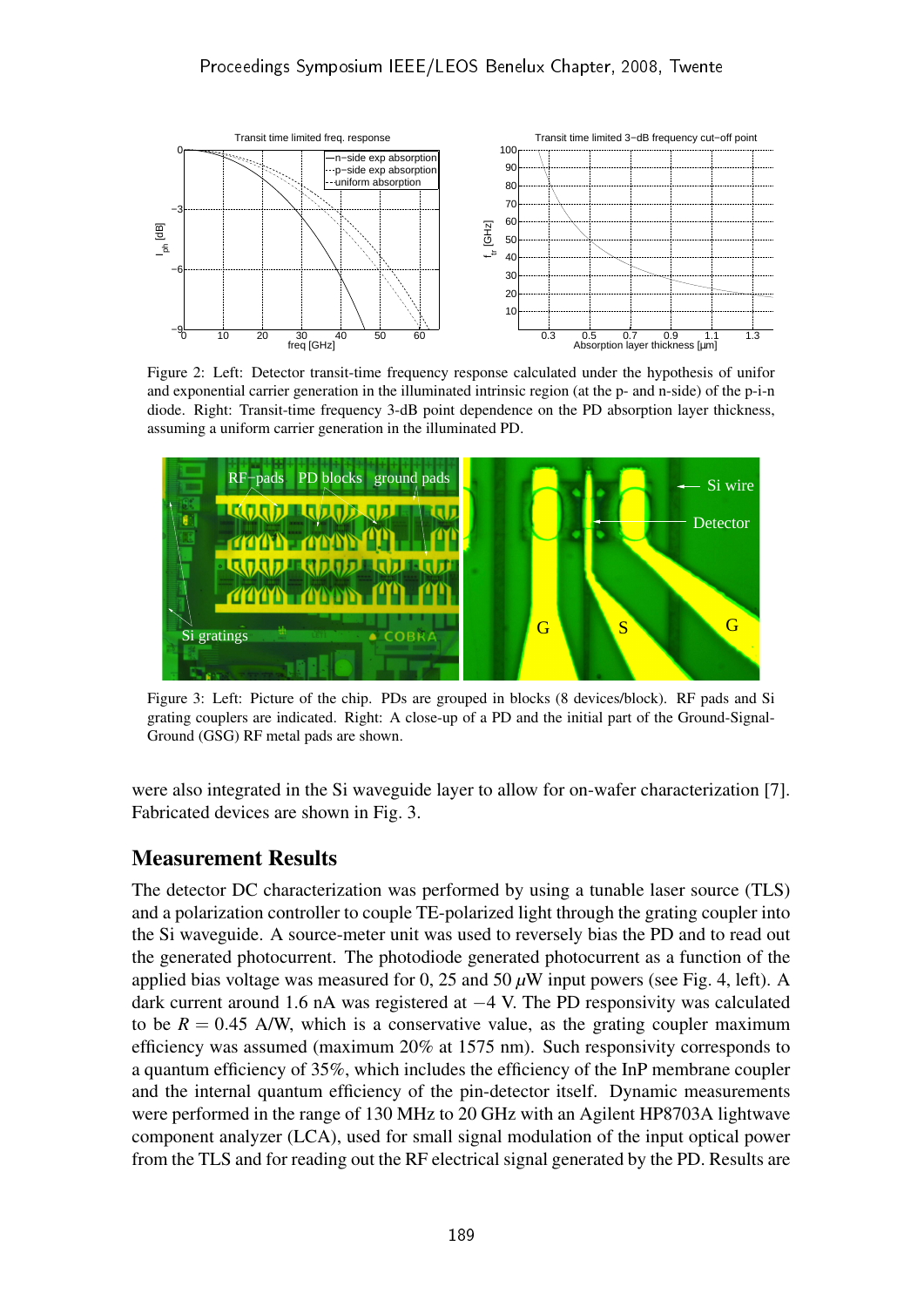

Figure 2: Left: Detector transit-time frequency response calculated under the hypothesis of unifor and exponential carrier generation in the illuminated intrinsic region (at the p- and n-side) of the p-i-n diode. Right: Transit-time frequency 3-dB point dependence on the PD absorption layer thickness, assuming a uniform carrier generation in the illuminated PD.



Figure 3: Left: Picture of the chip. PDs are grouped in blocks (8 devices/block). RF pads and Si grating couplers are indicated. Right: A close-up of a PD and the initial part of the Ground-Signal-Ground (GSG) RF metal pads are shown.

were also integrated in the Si waveguide layer to allow for on-wafer characterization [7]. Fabricated devices are shown in Fig. 3.

### Measurement Results

The detector DC characterization was performed by using a tunable laser source (TLS) and a polarization controller to couple TE-polarized light through the grating coupler into the Si waveguide. A source-meter unit was used to reversely bias the PD and to read out the generated photocurrent. The photodiode generated photocurrent as a function of the applied bias voltage was measured for 0, 25 and 50 *µ*W input powers (see Fig. 4, left). A dark current around 1.6 nA was registered at −4 V. The PD responsivity was calculated to be  $R = 0.45$  A/W, which is a conservative value, as the grating coupler maximum efficiency was assumed (maximum 20% at 1575 nm). Such responsivity corresponds to a quantum efficiency of 35%, which includes the efficiency of the InP membrane coupler and the internal quantum efficiency of the pin-detector itself. Dynamic measurements were performed in the range of 130 MHz to 20 GHz with an Agilent HP8703A lightwave component analyzer (LCA), used for small signal modulation of the input optical power from the TLS and for reading out the RF electrical signal generated by the PD. Results are